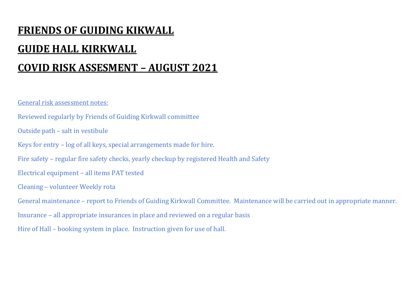# **FRIENDS OF GUIDING KIKWALL GUIDE HALL KIRKWALL COVID RISK ASSESMENT – AUGUST 2021**

General risk assessment notes:

Reviewed regularly by Friends of Guiding Kirkwall committee

Outside path – salt in vestibule

Keys for entry – log of all keys, special arrangements made for hire.

Fire safety – regular fire safety checks, yearly checkup by registered Health and Safety

Electrical equipment – all items PAT tested

Cleaning – volunteer Weekly rota

General maintenance – report to Friends of Guiding Kirkwall Committee. Maintenance will be carried out in appropriate manner.

Insurance – all appropriate insurances in place and reviewed on a regular basis

Hire of Hall – booking system in place. Instruction given for use of hall.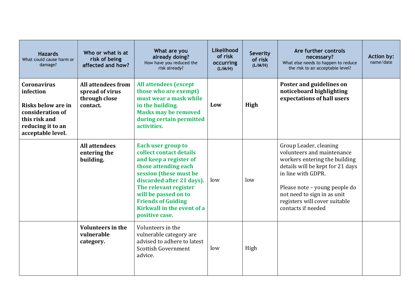| <b>Hazards</b><br>What could cause harm or<br>damage?                                                                                | Who or what is at<br>risk of being<br>affected and how?                   | What are you<br>already doing?<br>How have you reduced the<br>risk already?                                                                                                                                                                                                                 | Likelihood<br>of risk<br>occurring<br>(L/M/H) | <b>Severity</b><br>of risk<br>(L/M/H) | Are further controls<br>necessary?<br>What else needs to happen to reduce<br>the risk to an acceptable level?                                                                                                                                                          | <b>Action by:</b><br>name/date |
|--------------------------------------------------------------------------------------------------------------------------------------|---------------------------------------------------------------------------|---------------------------------------------------------------------------------------------------------------------------------------------------------------------------------------------------------------------------------------------------------------------------------------------|-----------------------------------------------|---------------------------------------|------------------------------------------------------------------------------------------------------------------------------------------------------------------------------------------------------------------------------------------------------------------------|--------------------------------|
| <b>Coronavirus</b><br>infection<br>Risks below are in<br>consideration of<br>this risk and<br>reducing it to an<br>acceptable level. | <b>All attendees from</b><br>spread of virus<br>through close<br>contact. | <b>All attendees (except)</b><br>those who are exempt)<br>must wear a mask while<br>in the building.<br><b>Masks may be removed</b><br>during certain permitted<br>activities.                                                                                                              | Low                                           | High                                  | Poster and guidelines on<br>noticeboard highlighting<br>expectations of hall users                                                                                                                                                                                     |                                |
|                                                                                                                                      | <b>All attendees</b><br>entering the<br>building.                         | <b>Each user group to</b><br>collect contact details<br>and keep a register of<br>those attending each<br>session (these must be<br>discarded after 21 days).<br>The relevant register<br>will be passed on to<br><b>Friends of Guiding</b><br>Kirkwall in the event of a<br>positive case. | low                                           | low                                   | Group Leader, cleaning<br>volunteers and maintenance<br>workers entering the building<br>details will be kept for 21 days<br>in line with GDPR.<br>Please note – young people do<br>not need to sign in as unit<br>registers will cover suitable<br>contacts if needed |                                |
|                                                                                                                                      | <b>Volunteers in the</b><br>vulnerable<br>category.                       | Volunteers in the<br>vulnerable category are<br>advised to adhere to latest<br><b>Scottish Government</b><br>advice.                                                                                                                                                                        | low                                           | High                                  |                                                                                                                                                                                                                                                                        |                                |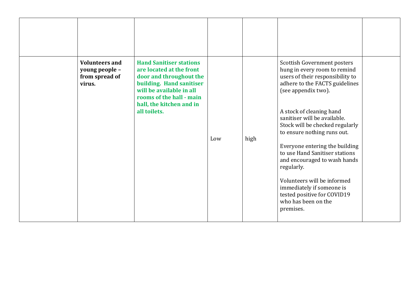| virus. | <b>Volunteers and</b><br>young people -<br>from spread of | <b>Hand Sanitiser stations</b><br>are located at the front<br>door and throughout the<br>building. Hand sanitiser<br>will be available in all |     |      | Scottish Government posters<br>hung in every room to remind<br>users of their responsibility to<br>adhere to the FACTS guidelines<br>(see appendix two).                                                                                                                                                                                                                    |  |
|--------|-----------------------------------------------------------|-----------------------------------------------------------------------------------------------------------------------------------------------|-----|------|-----------------------------------------------------------------------------------------------------------------------------------------------------------------------------------------------------------------------------------------------------------------------------------------------------------------------------------------------------------------------------|--|
|        |                                                           | rooms of the hall - main<br>hall, the kitchen and in<br>all toilets.                                                                          | Low | high | A stock of cleaning hand<br>sanitiser will be available.<br>Stock will be checked regularly<br>to ensure nothing runs out.<br>Everyone entering the building<br>to use Hand Sanitiser stations<br>and encouraged to wash hands<br>regularly.<br>Volunteers will be informed<br>immediately if someone is<br>tested positive for COVID19<br>who has been on the<br>premises. |  |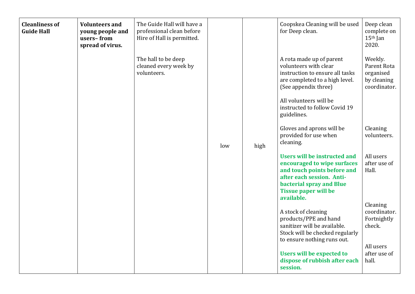| <b>Cleanliness of</b><br><b>Guide Hall</b> | <b>Volunteers and</b><br>young people and<br>users-from<br>spread of virus. | The Guide Hall will have a<br>professional clean before<br>Hire of Hall is permitted. |     |      | Coopskea Cleaning will be used<br>for Deep clean.                                                                                                                                                | Deep clean<br>complete on<br>$15th$ Jan<br>2020.                   |
|--------------------------------------------|-----------------------------------------------------------------------------|---------------------------------------------------------------------------------------|-----|------|--------------------------------------------------------------------------------------------------------------------------------------------------------------------------------------------------|--------------------------------------------------------------------|
|                                            |                                                                             | The hall to be deep<br>cleaned every week by<br>volunteers.                           |     |      | A rota made up of parent<br>volunteers with clear<br>instruction to ensure all tasks<br>are completed to a high level.<br>(See appendix three)                                                   | Weekly.<br>Parent Rota<br>organised<br>by cleaning<br>coordinator. |
|                                            |                                                                             |                                                                                       |     |      | All volunteers will be<br>instructed to follow Covid 19<br>guidelines.                                                                                                                           |                                                                    |
|                                            |                                                                             |                                                                                       | low | high | Gloves and aprons will be<br>provided for use when<br>cleaning.                                                                                                                                  | Cleaning<br>volunteers.                                            |
|                                            |                                                                             |                                                                                       |     |      | Users will be instructed and<br>encouraged to wipe surfaces<br>and touch points before and<br>after each session. Anti-<br>bacterial spray and Blue<br><b>Tissue paper will be</b><br>available. | All users<br>after use of<br>Hall.                                 |
|                                            |                                                                             |                                                                                       |     |      | A stock of cleaning<br>products/PPE and hand<br>sanitizer will be available.<br>Stock will be checked regularly<br>to ensure nothing runs out.                                                   | Cleaning<br>coordinator.<br>Fortnightly<br>check.<br>All users     |
|                                            |                                                                             |                                                                                       |     |      | <b>Users will be expected to</b><br>dispose of rubbish after each<br>session.                                                                                                                    | after use of<br>hall.                                              |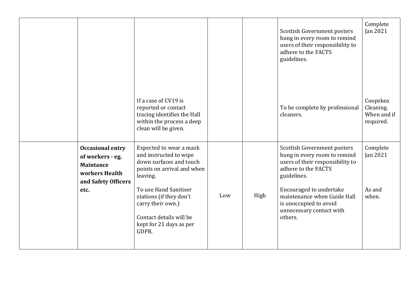|                                                                                                                  |                                                                                                                                                                                                                                                                |     |      | Scottish Government posters<br>hung in every room to remind<br>users of their responsibility to<br>adhere to the FACTS<br>guidelines.                                                                                                                            | Complete<br>Jan 2021                              |
|------------------------------------------------------------------------------------------------------------------|----------------------------------------------------------------------------------------------------------------------------------------------------------------------------------------------------------------------------------------------------------------|-----|------|------------------------------------------------------------------------------------------------------------------------------------------------------------------------------------------------------------------------------------------------------------------|---------------------------------------------------|
|                                                                                                                  | If a case of CV19 is<br>reported or contact<br>tracing identifies the Hall<br>within the process a deep<br>clean will be given.                                                                                                                                |     |      | To be complete by professional<br>cleaners.                                                                                                                                                                                                                      | Coopskea<br>Cleaning.<br>When and if<br>required. |
| <b>Occasional entry</b><br>of workers - eg.<br><b>Maintance</b><br>workers Health<br>and Safety Officers<br>etc. | Expected to wear a mask<br>and instructed to wipe<br>down surfaces and touch<br>points on arrival and when<br>leaving.<br>To use Hand Sanitiser<br>stations (if they don't<br>carry their own.)<br>Contact details will be<br>kept for 21 days as per<br>GDPR. | Low | High | Scottish Government posters<br>hung in every room to remind<br>users of their responsibility to<br>adhere to the FACTS<br>guidelines.<br>Encouraged to undertake<br>maintenance when Guide Hall<br>is unoccupied to avoid<br>unnecessary contact with<br>others. | Complete<br><b>Jan 2021</b><br>As and<br>when.    |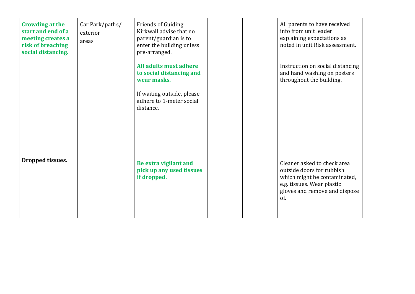| <b>Crowding at the</b><br>start and end of a<br>meeting creates a<br>risk of breaching<br>social distancing. | Car Park/paths/<br>exterior<br>areas | <b>Friends of Guiding</b><br>Kirkwall advise that no<br>parent/guardian is to<br>enter the building unless<br>pre-arranged. |  | All parents to have received<br>info from unit leader<br>explaining expectations as<br>noted in unit Risk assessment.                                          |  |
|--------------------------------------------------------------------------------------------------------------|--------------------------------------|-----------------------------------------------------------------------------------------------------------------------------|--|----------------------------------------------------------------------------------------------------------------------------------------------------------------|--|
|                                                                                                              |                                      | All adults must adhere<br>to social distancing and<br>wear masks.                                                           |  | Instruction on social distancing<br>and hand washing on posters<br>throughout the building.                                                                    |  |
|                                                                                                              |                                      | If waiting outside, please<br>adhere to 1-meter social<br>distance.                                                         |  |                                                                                                                                                                |  |
|                                                                                                              |                                      |                                                                                                                             |  |                                                                                                                                                                |  |
| Dropped tissues.                                                                                             |                                      | Be extra vigilant and<br>pick up any used tissues<br>if dropped.                                                            |  | Cleaner asked to check area<br>outside doors for rubbish<br>which might be contaminated,<br>e.g. tissues. Wear plastic<br>gloves and remove and dispose<br>of. |  |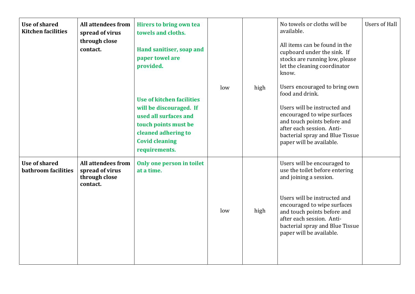| <b>Use of shared</b><br><b>Kitchen facilities</b> | <b>All attendees from</b><br>spread of virus<br>through close<br>contact. | Hirers to bring own tea<br>towels and cloths.<br>Hand sanitiser, soap and<br>paper towel are<br>provided.                                                                     |     |      | No towels or cloths will be<br>available.<br>All items can be found in the<br>cupboard under the sink. If<br>stocks are running low, please<br>let the cleaning coordinator<br>know.                                                                                              | <b>Users of Hall</b> |
|---------------------------------------------------|---------------------------------------------------------------------------|-------------------------------------------------------------------------------------------------------------------------------------------------------------------------------|-----|------|-----------------------------------------------------------------------------------------------------------------------------------------------------------------------------------------------------------------------------------------------------------------------------------|----------------------|
|                                                   |                                                                           | <b>Use of kitchen facilities</b><br>will be discouraged. If<br>used all surfaces and<br>touch points must be<br>cleaned adhering to<br><b>Covid cleaning</b><br>requirements. | low | high | Users encouraged to bring own<br>food and drink.<br>Users will be instructed and<br>encouraged to wipe surfaces<br>and touch points before and<br>after each session. Anti-<br>bacterial spray and Blue Tissue<br>paper will be available.                                        |                      |
| Use of shared<br>bathroom facilities              | <b>All attendees from</b><br>spread of virus<br>through close<br>contact. | Only one person in toilet<br>at a time.                                                                                                                                       | low | high | Users will be encouraged to<br>use the toilet before entering<br>and joining a session.<br>Users will be instructed and<br>encouraged to wipe surfaces<br>and touch points before and<br>after each session. Anti-<br>bacterial spray and Blue Tissue<br>paper will be available. |                      |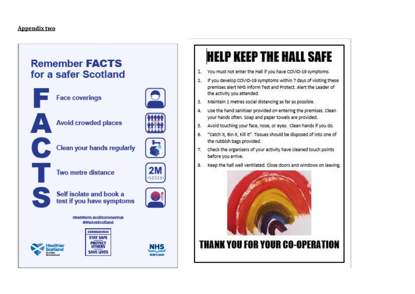### Appendix two

## **Remember FACTS** for a safer Scotland



**Face coverings** 



**Avoid crowded places** 



**Clean your hands regularly** 



Two metre distance



Self isolate and book a test if you have symptoms



**NHS** 

**SCOTT AND** 



nhainform acot/coronavirus #WeAreScotland





# **HELP KEEP THE HALL SAFE**

- 1. You must not enter the Hall if you have COVID-19 symptoms.
- 2. If you develop COVID-19 symptoms within 7 days of visiting these premises alert NHS Inform Test and Protect. Alert the Leader of the activity you attended.
- 3. Maintain 1 metres social distancing as far as possible.
- 4. Use the hand sanitiser provided on entering the premises. Clean your hands often. Soap and paper towels are provided.
- 5. Avoid touching your face, nose, or eyes. Clean hands if you do.
- 6. "Catch it, Bin it, Kill it". Tissues should be disposed of into one of the rubbish bags provided.
- 7. Check the organisers of your activity have cleaned touch points before you arrive.
- 8. Keep the hall well ventilated. Close doors and windows on leaving.



# **THANK YOU FOR YOUR CO-OPERATION**